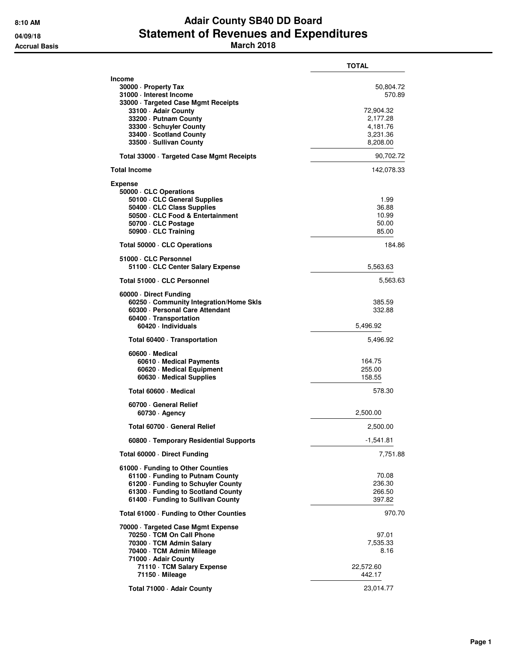# **8:10 AM Adair County SB40 DD Board 04/09/18 Statement of Revenues and Expenditures Accrual Basis March 2018**

|                                                                                                                                                                                                                                    | <b>TOTAL</b>                                                                     |
|------------------------------------------------------------------------------------------------------------------------------------------------------------------------------------------------------------------------------------|----------------------------------------------------------------------------------|
| Income<br>30000 · Property Tax<br>31000 · Interest Income<br>33000 · Targeted Case Mgmt Receipts<br>33100 - Adair County<br>33200 - Putnam County<br>33300 · Schuyler County<br>33400 · Scotland County<br>33500 · Sullivan County | 50,804.72<br>570.89<br>72,904.32<br>2,177.28<br>4,181.76<br>3,231.36<br>8,208.00 |
| Total 33000 · Targeted Case Mgmt Receipts                                                                                                                                                                                          | 90,702.72                                                                        |
| <b>Total Income</b>                                                                                                                                                                                                                | 142,078.33                                                                       |
| <b>Expense</b><br>50000 · CLC Operations<br>50100 · CLC General Supplies<br>50400 CLC Class Supplies<br>50500 CLC Food & Entertainment<br>50700 CLC Postage<br>50900 CLC Training                                                  | 1.99<br>36.88<br>10.99<br>50.00<br>85.00                                         |
| Total 50000 · CLC Operations                                                                                                                                                                                                       | 184.86                                                                           |
| 51000 · CLC Personnel<br>51100 · CLC Center Salary Expense                                                                                                                                                                         | 5,563.63                                                                         |
| Total 51000 · CLC Personnel                                                                                                                                                                                                        | 5,563.63                                                                         |
| 60000 Direct Funding<br>60250 Community Integration/Home Skls<br>60300 · Personal Care Attendant<br>60400 · Transportation<br>60420 · Individuals                                                                                  | 385.59<br>332.88<br>5,496.92                                                     |
| Total 60400 · Transportation                                                                                                                                                                                                       | 5,496.92                                                                         |
| 60600 Medical<br>60610 · Medical Payments<br>60620 · Medical Equipment<br>60630 · Medical Supplies                                                                                                                                 | 164.75<br>255.00<br>158.55                                                       |
| Total 60600 · Medical                                                                                                                                                                                                              | 578.30                                                                           |
| 60700 · General Relief<br>60730 · Agency                                                                                                                                                                                           | 2,500.00                                                                         |
| Total 60700 · General Relief                                                                                                                                                                                                       | 2,500.00                                                                         |
| 60800 · Temporary Residential Supports                                                                                                                                                                                             | $-1,541.81$                                                                      |
| Total 60000 · Direct Funding                                                                                                                                                                                                       | 7,751.88                                                                         |
| 61000 · Funding to Other Counties<br>61100 · Funding to Putnam County<br>61200 · Funding to Schuyler County<br>61300 - Funding to Scotland County<br>61400 · Funding to Sullivan County                                            | 70.08<br>236.30<br>266.50<br>397.82                                              |
| Total 61000 · Funding to Other Counties                                                                                                                                                                                            | 970.70                                                                           |
| 70000 · Targeted Case Mgmt Expense<br>70250 TCM On Call Phone<br>70300 · TCM Admin Salary<br>70400 · TCM Admin Mileage<br>71000 - Adair County<br>71110 · TCM Salary Expense<br>71150 · Mileage                                    | 97.01<br>7,535.33<br>8.16<br>22,572.60<br>442.17                                 |
| Total 71000 - Adair County                                                                                                                                                                                                         | 23,014.77                                                                        |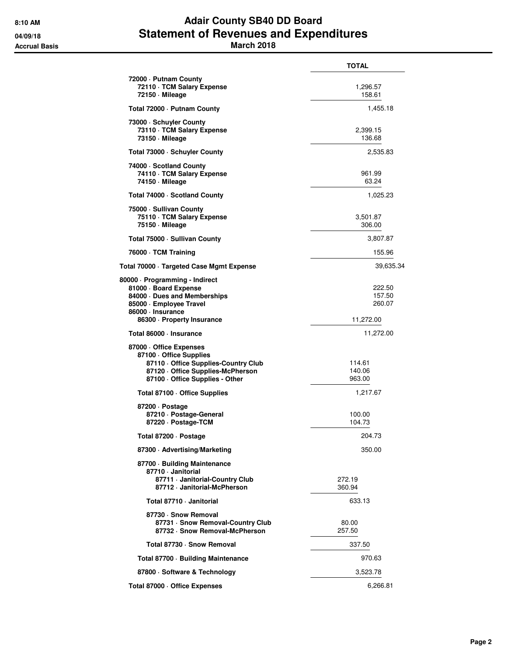# **8:10 AM Adair County SB40 DD Board 04/09/18 Statement of Revenues and Expenditures Accrual Basis March 2018**

|                                                                                                                                                                     | <b>TOTAL</b>                            |
|---------------------------------------------------------------------------------------------------------------------------------------------------------------------|-----------------------------------------|
| 72000 - Putnam County<br>72110 · TCM Salary Expense<br>72150 · Mileage                                                                                              | 1,296.57<br>158.61                      |
| Total 72000 - Putnam County                                                                                                                                         | 1,455.18                                |
| 73000 · Schuyler County<br>73110 · TCM Salary Expense<br>73150 · Mileage                                                                                            | 2,399.15<br>136.68                      |
| Total 73000 · Schuyler County                                                                                                                                       | 2,535.83                                |
| 74000 · Scotland County<br>74110 · TCM Salary Expense<br>74150 · Mileage                                                                                            | 961.99<br>63.24                         |
| Total 74000 · Scotland County                                                                                                                                       | 1,025.23                                |
| 75000 · Sullivan County<br>75110 · TCM Salary Expense<br>75150 · Mileage                                                                                            | 3,501.87<br>306.00                      |
| Total 75000 · Sullivan County                                                                                                                                       | 3,807.87                                |
| 76000 · TCM Training                                                                                                                                                | 155.96                                  |
| Total 70000 · Targeted Case Mgmt Expense                                                                                                                            | 39,635.34                               |
| 80000 · Programming - Indirect<br>81000 · Board Expense<br>84000 Dues and Memberships<br>85000 · Employee Travel<br>86000 · Insurance<br>86300 · Property Insurance | 222.50<br>157.50<br>260.07<br>11,272.00 |
| Total 86000 · Insurance                                                                                                                                             | 11,272.00                               |
| 87000 Office Expenses<br>87100 · Office Supplies<br>87110 Office Supplies-Country Club<br>87120 Office Supplies-McPherson<br>87100 Office Supplies - Other          | 114.61<br>140.06<br>963.00              |
| Total 87100 · Office Supplies                                                                                                                                       | 1,217.67                                |
| 87200 · Postage<br>87210 · Postage-General<br>87220 · Postage-TCM                                                                                                   | 100.00<br>104.73                        |
| Total 87200 · Postage                                                                                                                                               | 204.73                                  |
| 87300 - Advertising/Marketing                                                                                                                                       | 350.00                                  |
| 87700 Building Maintenance<br>87710 - Janitorial<br>87711 · Janitorial-Country Club<br>87712 · Janitorial-McPherson                                                 | 272.19<br>360.94                        |
| Total 87710 · Janitorial                                                                                                                                            | 633.13                                  |
| 87730 · Snow Removal<br>87731 · Snow Removal-Country Club<br>87732 · Snow Removal-McPherson                                                                         | 80.00<br>257.50                         |
| Total 87730 - Snow Removal                                                                                                                                          | 337.50                                  |
| Total 87700 · Building Maintenance                                                                                                                                  | 970.63                                  |
| 87800 · Software & Technology                                                                                                                                       | 3,523.78                                |
| Total 87000 · Office Expenses                                                                                                                                       | 6,266.81                                |